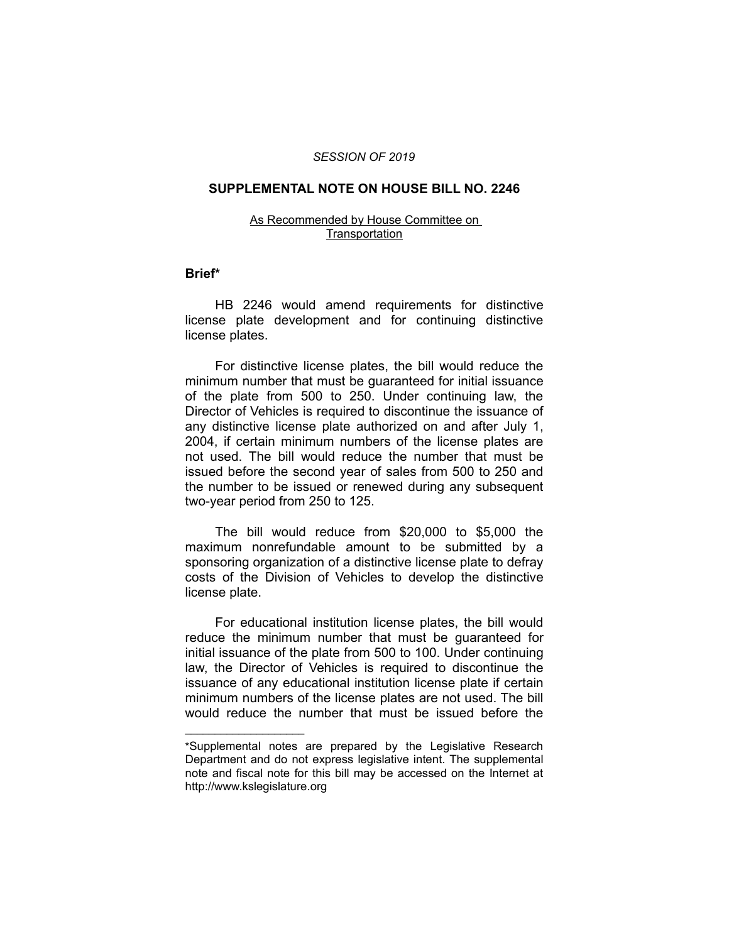### *SESSION OF 2019*

# **SUPPLEMENTAL NOTE ON HOUSE BILL NO. 2246**

#### As Recommended by House Committee on **Transportation**

### **Brief\***

HB 2246 would amend requirements for distinctive license plate development and for continuing distinctive license plates.

For distinctive license plates, the bill would reduce the minimum number that must be guaranteed for initial issuance of the plate from 500 to 250. Under continuing law, the Director of Vehicles is required to discontinue the issuance of any distinctive license plate authorized on and after July 1, 2004, if certain minimum numbers of the license plates are not used. The bill would reduce the number that must be issued before the second year of sales from 500 to 250 and the number to be issued or renewed during any subsequent two-year period from 250 to 125.

The bill would reduce from \$20,000 to \$5,000 the maximum nonrefundable amount to be submitted by a sponsoring organization of a distinctive license plate to defray costs of the Division of Vehicles to develop the distinctive license plate.

For educational institution license plates, the bill would reduce the minimum number that must be guaranteed for initial issuance of the plate from 500 to 100. Under continuing law, the Director of Vehicles is required to discontinue the issuance of any educational institution license plate if certain minimum numbers of the license plates are not used. The bill would reduce the number that must be issued before the

 $\overline{\phantom{a}}$  , where  $\overline{\phantom{a}}$  , where  $\overline{\phantom{a}}$ 

<sup>\*</sup>Supplemental notes are prepared by the Legislative Research Department and do not express legislative intent. The supplemental note and fiscal note for this bill may be accessed on the Internet at http://www.kslegislature.org